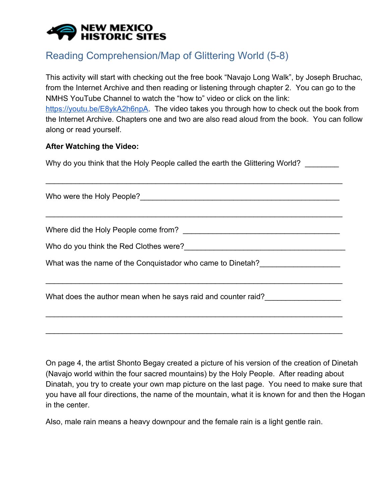## **NEW MEXICO HISTORIC SITES**

## Reading Comprehension/Map of Glittering World (5-8)

This activity will start with checking out the free book "Navajo Long Walk", by Joseph Bruchac, from the Internet Archive and then reading or listening through chapter 2. You can go to the NMHS YouTube Channel to watch the "how to" video or click on the link: <https://youtu.be/E8ykA2h6npA>. The video takes you through how to check out the book from the Internet Archive. Chapters one and two are also read aloud from the book. You can follow along or read yourself.

## **After Watching the Video:**

Why do you think that the Holy People called the earth the Glittering World?

\_\_\_\_\_\_\_\_\_\_\_\_\_\_\_\_\_\_\_\_\_\_\_\_\_\_\_\_\_\_\_\_\_\_\_\_\_\_\_\_\_\_\_\_\_\_\_\_\_\_\_\_\_\_\_\_\_\_\_\_\_\_\_\_\_\_\_\_\_\_

\_\_\_\_\_\_\_\_\_\_\_\_\_\_\_\_\_\_\_\_\_\_\_\_\_\_\_\_\_\_\_\_\_\_\_\_\_\_\_\_\_\_\_\_\_\_\_\_\_\_\_\_\_\_\_\_\_\_\_\_\_\_\_\_\_\_\_\_\_\_

\_\_\_\_\_\_\_\_\_\_\_\_\_\_\_\_\_\_\_\_\_\_\_\_\_\_\_\_\_\_\_\_\_\_\_\_\_\_\_\_\_\_\_\_\_\_\_\_\_\_\_\_\_\_\_\_\_\_\_\_\_\_\_\_\_\_\_\_\_\_

\_\_\_\_\_\_\_\_\_\_\_\_\_\_\_\_\_\_\_\_\_\_\_\_\_\_\_\_\_\_\_\_\_\_\_\_\_\_\_\_\_\_\_\_\_\_\_\_\_\_\_\_\_\_\_\_\_\_\_\_\_\_\_\_\_\_\_\_\_\_

\_\_\_\_\_\_\_\_\_\_\_\_\_\_\_\_\_\_\_\_\_\_\_\_\_\_\_\_\_\_\_\_\_\_\_\_\_\_\_\_\_\_\_\_\_\_\_\_\_\_\_\_\_\_\_\_\_\_\_\_\_\_\_\_\_\_\_\_\_\_

Who were the Holy People?\_\_\_\_\_\_\_\_\_\_\_\_\_\_\_\_\_\_\_\_\_\_\_\_\_\_\_\_\_\_\_\_\_\_\_\_\_\_\_\_\_\_\_\_\_\_\_

Where did the Holy People come from? \_\_\_\_\_\_\_\_\_\_\_\_\_\_\_\_\_\_\_\_\_\_\_\_\_\_\_\_\_\_\_\_\_\_\_\_\_

Who do you think the Red Clothes were?

What was the name of the Conquistador who came to Dinetah?

What does the author mean when he says raid and counter raid?

On page 4, the artist Shonto Begay created a picture of his version of the creation of Dinetah (Navajo world within the four sacred mountains) by the Holy People. After reading about Dinatah, you try to create your own map picture on the last page. You need to make sure that you have all four directions, the name of the mountain, what it is known for and then the Hogan in the center.

Also, male rain means a heavy downpour and the female rain is a light gentle rain.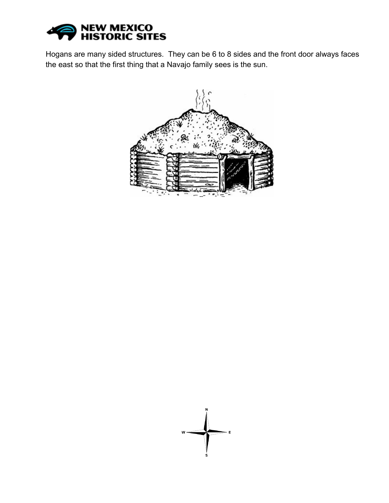

Hogans are many sided structures. They can be 6 to 8 sides and the front door always faces the east so that the first thing that a Navajo family sees is the sun.